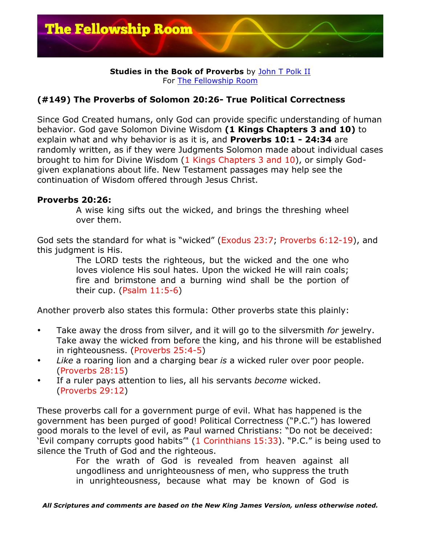

## **Studies in the Book of Proverbs** by John T Polk II For The Fellowship Room

## **(#149) The Proverbs of Solomon 20:26- True Political Correctness**

Since God Created humans, only God can provide specific understanding of human behavior. God gave Solomon Divine Wisdom **(1 Kings Chapters 3 and 10)** to explain what and why behavior is as it is, and **Proverbs 10:1 - 24:34** are randomly written, as if they were Judgments Solomon made about individual cases brought to him for Divine Wisdom (1 Kings Chapters 3 and 10), or simply Godgiven explanations about life. New Testament passages may help see the continuation of Wisdom offered through Jesus Christ.

## **Proverbs 20:26:**

A wise king sifts out the wicked, and brings the threshing wheel over them.

God sets the standard for what is "wicked" (Exodus 23:7; Proverbs 6:12-19), and this judgment is His.

> The LORD tests the righteous, but the wicked and the one who loves violence His soul hates. Upon the wicked He will rain coals; fire and brimstone and a burning wind shall be the portion of their cup. (Psalm 11:5-6)

Another proverb also states this formula: Other proverbs state this plainly:

- Take away the dross from silver, and it will go to the silversmith *for* jewelry. Take away the wicked from before the king, and his throne will be established in righteousness. (Proverbs 25:4-5)
- *Like* a roaring lion and a charging bear *is* a wicked ruler over poor people. (Proverbs 28:15)
- If a ruler pays attention to lies, all his servants *become* wicked. (Proverbs 29:12)

These proverbs call for a government purge of evil. What has happened is the government has been purged of good! Political Correctness ("P.C.") has lowered good morals to the level of evil, as Paul warned Christians: "Do not be deceived: 'Evil company corrupts good habits'" (1 Corinthians 15:33). "P.C." is being used to silence the Truth of God and the righteous.

> For the wrath of God is revealed from heaven against all ungodliness and unrighteousness of men, who suppress the truth in unrighteousness, because what may be known of God is